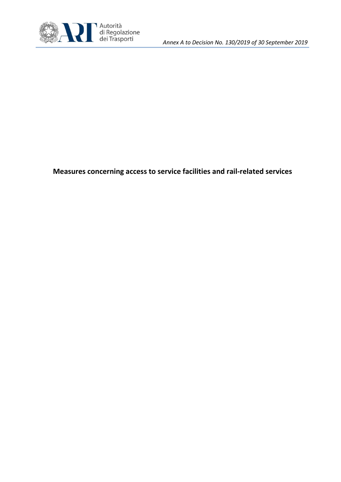

**Measures concerning access to service facilities and rail-related services**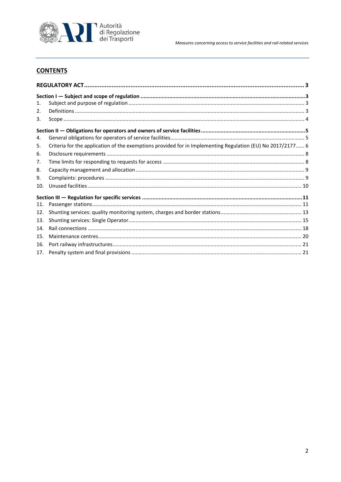

Measures concerning access to service facilities and rail-related services

# **CONTENTS**

| 1.  |                                                                                                            |  |
|-----|------------------------------------------------------------------------------------------------------------|--|
| 2.  |                                                                                                            |  |
| 3.  |                                                                                                            |  |
|     |                                                                                                            |  |
| 4.  |                                                                                                            |  |
| 5.  | Criteria for the application of the exemptions provided for in Implementing Regulation (EU) No 2017/2177 6 |  |
| 6.  |                                                                                                            |  |
| 7.  |                                                                                                            |  |
| 8.  |                                                                                                            |  |
| 9.  |                                                                                                            |  |
| 10. |                                                                                                            |  |
|     |                                                                                                            |  |
| 11. |                                                                                                            |  |
| 12. |                                                                                                            |  |
| 13. |                                                                                                            |  |
| 14. |                                                                                                            |  |
| 15. |                                                                                                            |  |
| 16. |                                                                                                            |  |
| 17. |                                                                                                            |  |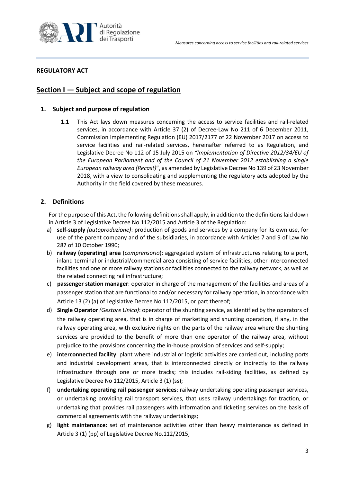

# <span id="page-2-1"></span><span id="page-2-0"></span>**REGULATORY ACT**

# <span id="page-2-2"></span>**Section I — Subject and scope of regulation**

# **1. Subject and purpose of regulation**

**1.1** This Act lays down measures concerning the access to service facilities and rail-related services, in accordance with Article 37 (2) of Decree-Law No 211 of 6 December 2011, Commission Implementing Regulation (EU) 2017/2177 of 22 November 2017 on access to service facilities and rail-related services, hereinafter referred to as Regulation, and Legislative Decree No 112 of 15 July 2015 on *"Implementation of Directive 2012/34/EU of the European Parliament and of the Council of 21 November 2012 establishing a single European railway area (Recast)*", as amended by Legislative Decree No 139 of 23 November 2018, with a view to consolidating and supplementing the regulatory acts adopted by the Authority in the field covered by these measures.

# <span id="page-2-3"></span>**2. Definitions**

For the purpose of this Act, the following definitions shall apply, in addition to the definitions laid down in Article 3 of Legislative Decree No 112/2015 and Article 3 of the Regulation:

- a) **self-supply** *(autoproduzione)*: production of goods and services by a company for its own use, for use of the parent company and of the subsidiaries, in accordance with Articles 7 and 9 of Law No 287 of 10 October 1990;
- b) **railway (operating) area** (*comprensorio*): aggregated system of infrastructures relating to a port, inland terminal or industrial/commercial area consisting of service facilities, other interconnected facilities and one or more railway stations or facilities connected to the railway network, as well as the related connecting rail infrastructure;
- c) **passenger station manager**: operator in charge of the management of the facilities and areas of a passenger station that are functional to and/or necessary for railway operation, in accordance with Article 13 (2) (a) of Legislative Decree No 112/2015, or part thereof;
- d) **Single Operator** *(Gestore Unico)*: operator of the shunting service, as identified by the operators of the railway operating area, that is in charge of marketing and shunting operation, if any, in the railway operating area, with exclusive rights on the parts of the railway area where the shunting services are provided to the benefit of more than one operator of the railway area, without prejudice to the provisions concerning the in-house provision of services and self-supply;
- e) **interconnected facility**: plant where industrial or logistic activities are carried out, including ports and industrial development areas, that is interconnected directly or indirectly to the railway infrastructure through one or more tracks; this includes rail-siding facilities, as defined by Legislative Decree No 112/2015, Article 3 (1) (ss);
- f) **undertaking operating rail passenger services**: railway undertaking operating passenger services, or undertaking providing rail transport services, that uses railway undertakings for traction, or undertaking that provides rail passengers with information and ticketing services on the basis of commercial agreements with the railway undertakings;
- g) **light maintenance:** set of maintenance activities other than heavy maintenance as defined in Article 3 (1) (pp) of Legislative Decree No.112/2015;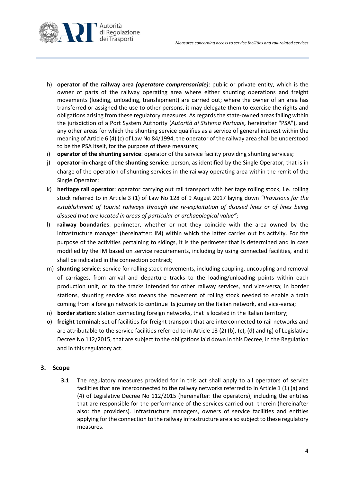

- h) **operator of the railway area** *(operatore comprensoriale)*: public or private entity, which is the owner of parts of the railway operating area where either shunting operations and freight movements (loading, unloading, transhipment) are carried out; where the owner of an area has transferred or assigned the use to other persons, it may delegate them to exercise the rights and obligations arising from these regulatory measures. As regards the state-owned areas falling within the jurisdiction of a Port System Authority (*Autorità di Sistema Portuale,* hereinafter "PSA"), and any other areas for which the shunting service qualifies as a service of general interest within the meaning of Article 6 (4) (c) of Law No 84/1994, the operator of the railway area shall be understood to be the PSA itself, for the purpose of these measures;
- i) **operator of the shunting service**: operator of the service facility providing shunting services;
- j) **operator-in-charge of the shunting service**: person, as identified by the Single Operator, that is in charge of the operation of shunting services in the railway operating area within the remit of the Single Operator;
- k) **heritage rail operator**: operator carrying out rail transport with heritage rolling stock, i.e. rolling stock referred to in Article 3 (1) of Law No 128 of 9 August 2017 laying down *"Provisions for the establishment of tourist railways through the re-exploitation of disused lines or of lines being disused that are located in areas of particular or archaeological value"*;
- l) **railway boundaries**: perimeter, whether or not they coincide with the area owned by the infrastructure manager (hereinafter: IM) within which the latter carries out its activity. For the purpose of the activities pertaining to sidings, it is the perimeter that is determined and in case modified by the IM based on service requirements, including by using connected facilities, and it shall be indicated in the connection contract;
- m) **shunting service**: service for rolling stock movements, including coupling, uncoupling and removal of carriages, from arrival and departure tracks to the loading/unloading points within each production unit, or to the tracks intended for other railway services, and vice-versa; in border stations, shunting service also means the movement of rolling stock needed to enable a train coming from a foreign network to continue its journey on the Italian network, and vice-versa;
- n) **border station**: station connecting foreign networks, that is located in the Italian territory;
- o) **freight terminal:** set of facilities for freight transport that are interconnected to rail networks and are attributable to the service facilities referred to in Article 13 (2) (b), (c), (d) and (g) of Legislative Decree No 112/2015, that are subject to the obligations laid down in this Decree, in the Regulation and in this regulatory act.

## <span id="page-3-0"></span>**3. Scope**

**3.1** The regulatory measures provided for in this act shall apply to all operators of service facilities that are interconnected to the railway networks referred to in Article 1 (1) (a) and (4) of Legislative Decree No 112/2015 (hereinafter: the operators), including the entities that are responsible for the performance of the services carried out therein (hereinafter also: the providers). Infrastructure managers, owners of service facilities and entities applying for the connection to the railway infrastructure are also subject to these regulatory measures.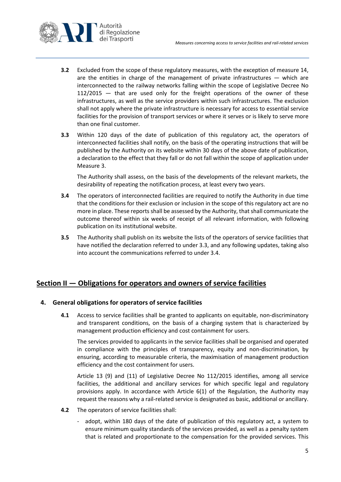

- **3.2** Excluded from the scope of these regulatory measures, with the exception of measure [14,](#page-17-0) are the entities in charge of the management of private infrastructures — which are interconnected to the railway networks falling within the scope of Legislative Decree No 112/2015 — that are used only for the freight operations of the owner of these infrastructures, as well as the service providers within such infrastructures. The exclusion shall not apply where the private infrastructure is necessary for access to essential service facilities for the provision of transport services or where it serves or is likely to serve more than one final customer.
- **3.3** Within 120 days of the date of publication of this regulatory act, the operators of interconnected facilities shall notify, on the basis of the operating instructions that will be published by the Authority on its website within 30 days of the above date of publication, a declaration to the effect that they fall or do not fall within the scope of application under Measure 3.

The Authority shall assess, on the basis of the developments of the relevant markets, the desirability of repeating the notification process, at least every two years.

- **3.4** The operators of interconnected facilities are required to notify the Authority in due time that the conditions for their exclusion or inclusion in the scope of this regulatory act are no more in place. These reports shall be assessed by the Authority, that shall communicate the outcome thereof within six weeks of receipt of all relevant information, with following publication on its institutional website.
- **3.5** The Authority shall publish on its website the lists of the operators of service facilities that have notified the declaration referred to under 3.3, and any following updates, taking also into account the communications referred to under 3.4.

# <span id="page-4-1"></span><span id="page-4-0"></span>**Section II — Obligations for operators and owners of service facilities**

## <span id="page-4-3"></span>**4. General obligations for operators of service facilities**

**4.1** Access to service facilities shall be granted to applicants on equitable, non-discriminatory and transparent conditions, on the basis of a charging system that is characterized by management production efficiency and cost containment for users.

The services provided to applicants in the service facilities shall be organised and operated in compliance with the principles of transparency, equity and non-discrimination, by ensuring, according to measurable criteria, the maximisation of management production efficiency and the cost containment for users.

Article 13 (9) and (11) of Legislative Decree No 112/2015 identifies, among all service facilities, the additional and ancillary services for which specific legal and regulatory provisions apply. In accordance with Article  $6(1)$  of the Regulation, the Authority may request the reasons why a rail-related service is designated as basic, additional or ancillary.

- <span id="page-4-2"></span>**4.2** The operators of service facilities shall:
	- adopt, within 180 days of the date of publication of this regulatory act, a system to ensure minimum quality standards of the services provided, as well as a penalty system that is related and proportionate to the compensation for the provided services. This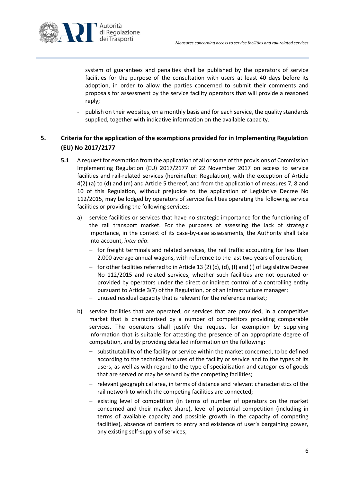

system of guarantees and penalties shall be published by the operators of service facilities for the purpose of the consultation with users at least 40 days before its adoption, in order to allow the parties concerned to submit their comments and proposals for assessment by the service facility operators that will provide a reasoned reply;

publish on their websites, on a monthly basis and for each service, the quality standards supplied, together with indicative information on the available capacity.

# <span id="page-5-1"></span><span id="page-5-0"></span>**5. Criteria for the application of the exemptions provided for in Implementing Regulation (EU) No 2017/2177**

- **5.1** A request for exemption from the application of all or some of the provisions of Commission Implementing Regulation (EU) 2017/2177 of 22 November 2017 on access to service facilities and rail-related services (hereinafter: Regulation), with the exception of Article 4(2) (a) to (d) and (m) and Article 5 thereof, and from the application of measures [7,](#page-7-1) [8](#page-8-0) and [10](#page-9-0) of this Regulation, without prejudice to the application of Legislative Decree No 112/2015, may be lodged by operators of service facilities operating the following service facilities or providing the following services:
	- a) service facilities or services that have no strategic importance for the functioning of the rail transport market. For the purposes of assessing the lack of strategic importance, in the context of its case-by-case assessments, the Authority shall take into account, *inter alia*:
		- for freight terminals and related services, the rail traffic accounting for less than 2.000 average annual wagons, with reference to the last two years of operation;
		- for other facilities referred to in Article 13 (2) (c), (d), (f) and (i) of Legislative Decree No 112/2015 and related services, whether such facilities are not operated or provided by operators under the direct or indirect control of a controlling entity pursuant to Article 3(7) of the Regulation, or of an infrastructure manager;
		- unused residual capacity that is relevant for the reference market;
	- b) service facilities that are operated, or services that are provided, in a competitive market that is characterised by a number of competitors providing comparable services. The operators shall justify the request for exemption by supplying information that is suitable for attesting the presence of an appropriate degree of competition, and by providing detailed information on the following:
		- substitutability of the facility or service within the market concerned, to be defined according to the technical features of the facility or service and to the types of its users, as well as with regard to the type of specialisation and categories of goods that are served or may be served by the competing facilities;
		- relevant geographical area, in terms of distance and relevant characteristics of the rail network to which the competing facilities are connected;
		- existing level of competition (in terms of number of operators on the market concerned and their market share), level of potential competition (including in terms of available capacity and possible growth in the capacity of competing facilities), absence of barriers to entry and existence of user's bargaining power, any existing self-supply of services;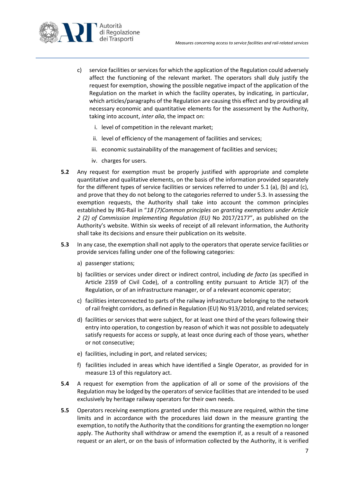

- c) service facilities or servicesfor which the application of the Regulation could adversely affect the functioning of the relevant market. The operators shall duly justify the request for exemption, showing the possible negative impact of the application of the Regulation on the market in which the facility operates, by indicating, in particular, which articles/paragraphs of the Regulation are causing this effect and by providing all necessary economic and quantitative elements for the assessment by the Authority, taking into account, *inter alia*, the impact on:
	- i. level of competition in the relevant market;
	- ii. level of efficiency of the management of facilities and services;
	- iii. economic sustainability of the management of facilities and services;
	- iv. charges for users.
- **5.2** Any request for exemption must be properly justified with appropriate and complete quantitative and qualitative elements, on the basis of the information provided separately for the different types of service facilities or services referred to under [5.1](#page-5-1) (a), (b) and (c), and prove that they do not belong to the categories referred to unde[r 5.3.](#page-6-0) In assessing the exemption requests, the Authority shall take into account the common principles established by IRG-Rail in "*18 (7)Common principles on granting exemptions under Article 2 (2) of Commission Implementing Regulation (EU)* No 2017/2177", as published on the Authority's website. Within six weeks of receipt of all relevant information, the Authority shall take its decisions and ensure their publication on its website.
- <span id="page-6-0"></span>**5.3** In any case, the exemption shall not apply to the operators that operate service facilities or provide services falling under one of the following categories:
	- a) passenger stations;
	- b) facilities or services under direct or indirect control, including *de facto* (as specified in Article 2359 of Civil Code), of a controlling entity pursuant to Article 3(7) of the Regulation, or of an infrastructure manager, or of a relevant economic operator;
	- c) facilities interconnected to parts of the railway infrastructure belonging to the network of rail freight corridors, as defined in Regulation (EU) No 913/2010, and related services;
	- d) facilities or services that were subject, for at least one third of the years following their entry into operation, to congestion by reason of which it was not possible to adequately satisfy requests for access or supply, at least once during each of those years, whether or not consecutive;
	- e) facilities, including in port, and related services;
	- f) facilities included in areas which have identified a Single Operator, as provided for in measure 13 of this regulatory act.
- **5.4** A request for exemption from the application of all or some of the provisions of the Regulation may be lodged by the operators of service facilities that are intended to be used exclusively by heritage railway operators for their own needs.
- **5.5** Operators receiving exemptions granted under this measure are required, within the time limits and in accordance with the procedures laid down in the measure granting the exemption, to notify the Authority that the conditions for granting the exemption no longer apply. The Authority shall withdraw or amend the exemption if, as a result of a reasoned request or an alert, or on the basis of information collected by the Authority, it is verified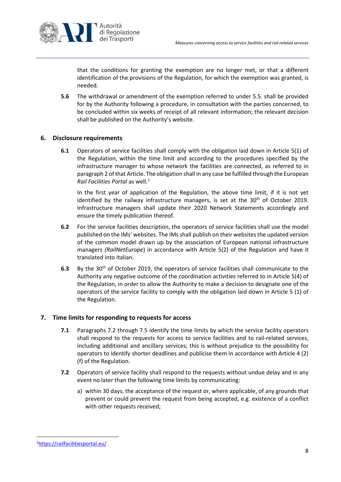

that the conditions for granting the exemption are no longer met, or that a different identification of the provisions of the Regulation, for which the exemption was granted, is needed.

**5.6** The withdrawal or amendment of the exemption referred to under 5.5. shall be provided for by the Authority following a procedure, in consultation with the parties concerned, to be concluded within six weeks of receipt of all relevant information; the relevant decision shall be published on the Authority's website.

## <span id="page-7-0"></span>**6. Disclosure requirements**

**6.1** Operators of service facilities shall comply with the obligation laid down in Article 5(1) of the Regulation, within the time limit and according to the procedures specified by the infrastructure manager to whose network the facilities are connected, as referred to in paragraph 2 of that Article. The obligation shall in any case be fulfilled through the European *Rail Facilities Portal* as well. [1](#page-7-3)

In the first year of application of the Regulation, the above time limit, if it is not yet identified by the railway infrastructure managers, is set at the  $30<sup>th</sup>$  of October 2019. Infrastructure managers shall update their 2020 Network Statements accordingly and ensure the timely publication thereof.

- **6.2** For the service facilities description, the operators of service facilities shall use the model published on the IMs' websites. The IMs shall publish on their websites the updated version of the common model drawn up by the association of European national infrastructure managers *(RailNetEurope*) in accordance with Article 5(2) of the Regulation and have it translated into Italian.
- **6.3** By the 30th of October 2019, the operators of service facilities shall communicate to the Authority any negative outcome of the coordination activities referred to in Article 5(4) of the Regulation, in order to allow the Authority to make a decision to designate one of the operators of the service facility to comply with the obligation laid down in Article 5 (1) of the Regulation.

#### <span id="page-7-1"></span>**7. Time limits for responding to requests for access**

- **7.1** Paragraphs [7.2](#page-7-2) through [7.5](#page-8-2) identify the time limits by which the service facility operators shall respond to the requests for access to service facilities and to rail-related services, including additional and ancillary services; this is without prejudice to the possibility for operators to identify shorter deadlines and publicise them in accordance with Article 4 (2) (f) of the Regulation.
- <span id="page-7-2"></span>**7.2** Operators of service facility shall respond to the requests without undue delay and in any event no later than the following time limits by communicating:
	- a) within 30 days, the acceptance of the request or, where applicable, of any grounds that prevent or could prevent the request from being accepted, e.g. existence of a conflict with other requests received;

<span id="page-7-3"></span> $\frac{1}{1}$ <https://railfacilitiesportal.eu/>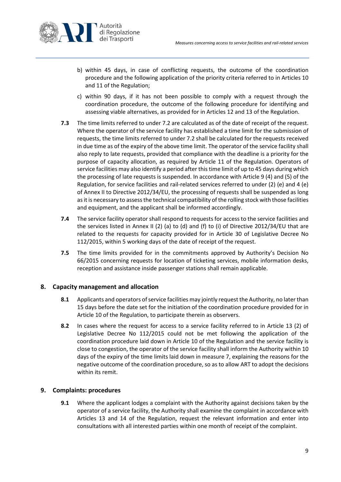

- b) within 45 days, in case of conflicting requests, the outcome of the coordination procedure and the following application of the priority criteria referred to in Articles 10 and 11 of the Regulation;
- c) within 90 days, if it has not been possible to comply with a request through the coordination procedure, the outcome of the following procedure for identifying and assessing viable alternatives, as provided for in Articles 12 and 13 of the Regulation.
- **7.3** The time limits referred to under 7.2 are calculated as of the date of receipt of the request. Where the operator of the service facility has established a time limit for the submission of requests, the time limits referred to under 7.2 shall be calculated for the requests received in due time as of the expiry of the above time limit. The operator of the service facility shall also reply to late requests, provided that compliance with the deadline is a priority for the purpose of capacity allocation, as required by Article 11 of the Regulation. Operators of service facilities may also identify a period after this time limit of up to 45 days during which the processing of late requests is suspended. In accordance with Article 9 (4) and (5) of the Regulation, for service facilities and rail-related services referred to under (2) (e) and 4 (e) of Annex II to Directive 2012/34/EU, the processing of requests shall be suspended as long as it is necessary to assess the technical compatibility of the rolling stock with those facilities and equipment, and the applicant shall be informed accordingly.
- **7.4** The service facility operator shall respond to requests for access to the service facilities and the services listed in Annex II (2) (a) to (d) and (f) to (i) of Directive 2012/34/EU that are related to the requests for capacity provided for in Article 30 of Legislative Decree No 112/2015, within 5 working days of the date of receipt of the request.
- <span id="page-8-2"></span>**7.5** The time limits provided for in the commitments approved by Authority's Decision No 66/2015 concerning requests for location of ticketing services, mobile information desks, reception and assistance inside passenger stations shall remain applicable.

## <span id="page-8-0"></span>**8. Capacity management and allocation**

- **8.1** Applicants and operators of service facilities may jointly request the Authority, no laterthan 15 days before the date set for the initiation of the coordination procedure provided for in Article 10 of the Regulation, to participate therein as observers.
- **8.2** In cases where the request for access to a service facility referred to in Article 13 (2) of Legislative Decree No 112/2015 could not be met following the application of the coordination procedure laid down in Article 10 of the Regulation and the service facility is close to congestion, the operator of the service facility shall inform the Authority within 10 days of the expiry of the time limits laid down in measure [7,](#page-7-1) explaining the reasons for the negative outcome of the coordination procedure, so as to allow ART to adopt the decisions within its remit.

#### <span id="page-8-1"></span>**9. Complaints: procedures**

**9.1** Where the applicant lodges a complaint with the Authority against decisions taken by the operator of a service facility, the Authority shall examine the complaint in accordance with Articles 13 and 14 of the Regulation, request the relevant information and enter into consultations with all interested parties within one month of receipt of the complaint.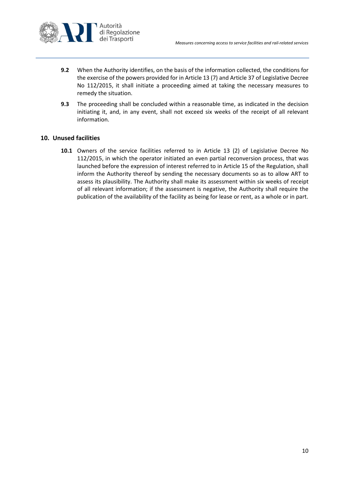

- **9.2** When the Authority identifies, on the basis of the information collected, the conditions for the exercise of the powers provided for in Article 13 (7) and Article 37 of Legislative Decree No 112/2015, it shall initiate a proceeding aimed at taking the necessary measures to remedy the situation.
- **9.3** The proceeding shall be concluded within a reasonable time, as indicated in the decision initiating it, and, in any event, shall not exceed six weeks of the receipt of all relevant information.

#### <span id="page-9-0"></span>**10. Unused facilities**

**10.1** Owners of the service facilities referred to in Article 13 (2) of Legislative Decree No 112/2015, in which the operator initiated an even partial reconversion process, that was launched before the expression of interest referred to in Article 15 of the Regulation, shall inform the Authority thereof by sending the necessary documents so as to allow ART to assess its plausibility. The Authority shall make its assessment within six weeks of receipt of all relevant information; if the assessment is negative, the Authority shall require the publication of the availability of the facility as being for lease or rent, as a whole or in part.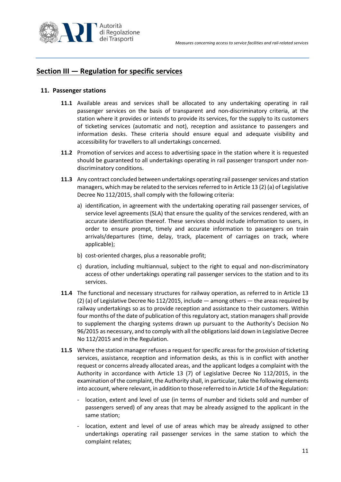

# <span id="page-10-1"></span><span id="page-10-0"></span>**Section III — Regulation for specific services**

#### **11. Passenger stations**

- **11.1** Available areas and services shall be allocated to any undertaking operating in rail passenger services on the basis of transparent and non-discriminatory criteria, at the station where it provides or intends to provide its services, for the supply to its customers of ticketing services (automatic and not), reception and assistance to passengers and information desks. These criteria should ensure equal and adequate visibility and accessibility for travellers to all undertakings concerned.
- **11.2** Promotion of services and access to advertising space in the station where it is requested should be guaranteed to all undertakings operating in rail passenger transport under nondiscriminatory conditions.
- **11.3** Any contract concluded between undertakings operating rail passenger services and station managers, which may be related to the services referred to in Article 13 (2) (a) of Legislative Decree No 112/2015, shall comply with the following criteria:
	- a) identification, in agreement with the undertaking operating rail passenger services, of service level agreements (SLA) that ensure the quality of the services rendered, with an accurate identification thereof. These services should include information to users, in order to ensure prompt, timely and accurate information to passengers on train arrivals/departures (time, delay, track, placement of carriages on track, where applicable);
	- b) cost-oriented charges, plus a reasonable profit;
	- c) duration, including multiannual, subject to the right to equal and non-discriminatory access of other undertakings operating rail passenger services to the station and to its services.
- **11.4** The functional and necessary structures for railway operation, as referred to in Article 13 (2) (a) of Legislative Decree No 112/2015, include  $-$  among others  $-$  the areas required by railway undertakings so as to provide reception and assistance to their customers. Within four months of the date of publication of this regulatory act, station managers shall provide to supplement the charging systems drawn up pursuant to the Authority's Decision No 96/2015 as necessary, and to comply with all the obligations laid down in Legislative Decree No 112/2015 and in the Regulation.
- **11.5** Where the station manager refuses a request for specific areas for the provision of ticketing services, assistance, reception and information desks, as this is in conflict with another request or concerns already allocated areas, and the applicant lodges a complaint with the Authority in accordance with Article 13 (7) of Legislative Decree No 112/2015, in the examination of the complaint, the Authority shall, in particular, take the following elements into account, where relevant, in addition to those referred to in Article 14 of the Regulation:
	- location, extent and level of use (in terms of number and tickets sold and number of passengers served) of any areas that may be already assigned to the applicant in the same station;
	- location, extent and level of use of areas which may be already assigned to other undertakings operating rail passenger services in the same station to which the complaint relates;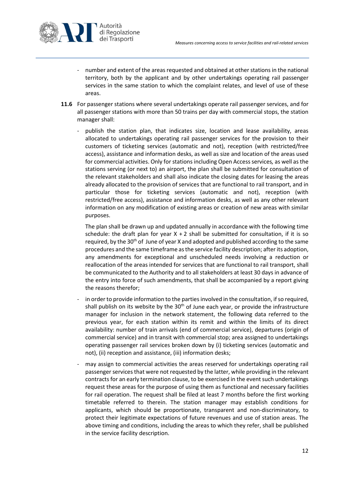

- number and extent of the areas requested and obtained at other stations in the national territory, both by the applicant and by other undertakings operating rail passenger services in the same station to which the complaint relates, and level of use of these areas.
- **11.6** For passenger stations where several undertakings operate rail passenger services, and for all passenger stations with more than 50 trains per day with commercial stops, the station manager shall:
	- publish the station plan, that indicates size, location and lease availability, areas allocated to undertakings operating rail passenger services for the provision to their customers of ticketing services (automatic and not), reception (with restricted/free access), assistance and information desks, as well as size and location of the areas used for commercial activities. Only for stations including Open Access services*,* as well as the stations serving (or next to) an airport, the plan shall be submitted for consultation of the relevant stakeholders and shall also indicate the closing dates for leasing the areas already allocated to the provision of services that are functional to rail transport, and in particular those for ticketing services (automatic and not), reception (with restricted/free access), assistance and information desks, as well as any other relevant information on any modification of existing areas or creation of new areas with similar purposes.

The plan shall be drawn up and updated annually in accordance with the following time schedule: the draft plan for year  $X + 2$  shall be submitted for consultation, if it is so required, by the 30<sup>th</sup> of June of year X and adopted and published according to the same procedures and the same timeframe as the service facility description; after its adoption, any amendments for exceptional and unscheduled needs involving a reduction or reallocation of the areas intended for services that are functional to rail transport, shall be communicated to the Authority and to all stakeholders at least 30 days in advance of the entry into force of such amendments, that shall be accompanied by a report giving the reasons therefor;

- in order to provide information to the parties involved in the consultation, if so required, shall publish on its website by the  $30<sup>th</sup>$  of June each year, or provide the infrastructure manager for inclusion in the network statement, the following data referred to the previous year, for each station within its remit and within the limits of its direct availability: number of train arrivals (end of commercial service), departures (origin of commercial service) and in transit with commercial stop; area assigned to undertakings operating passenger rail services broken down by (i) ticketing services (automatic and not), (ii) reception and assistance, (iii) information desks;
- may assign to commercial activities the areas reserved for undertakings operating rail passenger services that were not requested by the latter, while providing in the relevant contracts for an early termination clause, to be exercised in the event such undertakings request these areas for the purpose of using them as functional and necessary facilities for rail operation. The request shall be filed at least 7 months before the first working timetable referred to therein. The station manager may establish conditions for applicants, which should be proportionate, transparent and non-discriminatory, to protect their legitimate expectations of future revenues and use of station areas. The above timing and conditions, including the areas to which they refer, shall be published in the service facility description.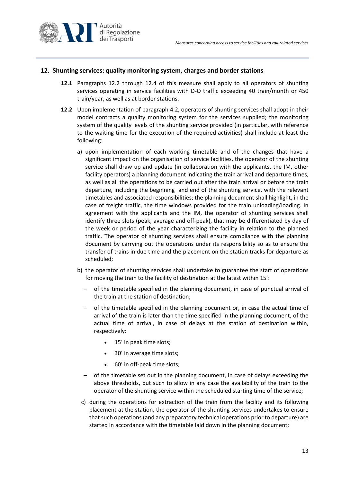

## <span id="page-12-0"></span>**12. Shunting services: quality monitoring system, charges and border stations**

- **12.1** Paragraphs [12.2](#page-12-1) through [12.4](#page-13-0) of this measure shall apply to all operators of shunting services operating in service facilities with D-O traffic exceeding 40 train/month or 450 train/year, as well as at border stations.
- <span id="page-12-1"></span>**12.2** Upon implementation of paragraph [4.2,](#page-4-2) operators of shunting services shall adopt in their model contracts a quality monitoring system for the services supplied; the monitoring system of the quality levels of the shunting service provided (in particular, with reference to the waiting time for the execution of the required activities) shall include at least the following:
	- a) upon implementation of each working timetable and of the changes that have a significant impact on the organisation of service facilities, the operator of the shunting service shall draw up and update (in collaboration with the applicants, the IM, other facility operators) a planning document indicating the train arrival and departure times, as well as all the operations to be carried out after the train arrival or before the train departure, including the beginning and end of the shunting service, with the relevant timetables and associated responsibilities; the planning document shall highlight, in the case of freight traffic, the time windows provided for the train unloading/loading. In agreement with the applicants and the IM, the operator of shunting services shall identify three slots (peak, average and off-peak), that may be differentiated by day of the week or period of the year characterizing the facility in relation to the planned traffic. The operator of shunting services shall ensure compliance with the planning document by carrying out the operations under its responsibility so as to ensure the transfer of trains in due time and the placement on the station tracks for departure as scheduled;
	- b) the operator of shunting services shall undertake to guarantee the start of operations for moving the train to the facility of destination at the latest within 15':
		- of the timetable specified in the planning document, in case of punctual arrival of the train at the station of destination;
		- of the timetable specified in the planning document or, in case the actual time of arrival of the train is later than the time specified in the planning document, of the actual time of arrival, in case of delays at the station of destination within, respectively:
			- 15' in peak time slots;
			- 30' in average time slots;
			- 60' in off-peak time slots;
		- of the timetable set out in the planning document, in case of delays exceeding the above thresholds, but such to allow in any case the availability of the train to the operator of the shunting service within the scheduled starting time of the service;
		- c) during the operations for extraction of the train from the facility and its following placement at the station, the operator of the shunting services undertakes to ensure that such operations (and any preparatory technical operations prior to departure) are started in accordance with the timetable laid down in the planning document;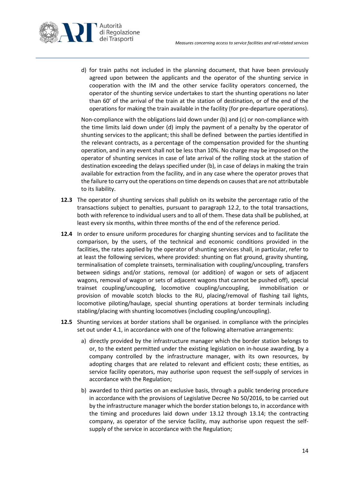

d) for train paths not included in the planning document, that have been previously agreed upon between the applicants and the operator of the shunting service in cooperation with the IM and the other service facility operators concerned, the operator of the shunting service undertakes to start the shunting operations no later than 60' of the arrival of the train at the station of destination, or of the end of the operations for making the train available in the facility (for pre-departure operations).

Non-compliance with the obligations laid down under (b) and (c) or non-compliance with the time limits laid down under (d) imply the payment of a penalty by the operator of shunting services to the applicant; this shall be defined between the parties identified in the relevant contracts, as a percentage of the compensation provided for the shunting operation, and in any event shall not be less than 10%. No charge may be imposed on the operator of shunting services in case of late arrival of the rolling stock at the station of destination exceeding the delays specified under (b), in case of delays in making the train available for extraction from the facility, and in any case where the operator proves that the failure to carry out the operations on time depends on causes that are not attributable to its liability.

- **12.3** The operator of shunting services shall publish on its website the percentage ratio of the transactions subject to penalties, pursuant to paragraph 12.2, to the total transactions, both with reference to individual users and to all of them. These data shall be published, at least every six months, within three months of the end of the reference period.
- <span id="page-13-0"></span>**12.4** In order to ensure uniform procedures for charging shunting services and to facilitate the comparison, by the users, of the technical and economic conditions provided in the facilities, the rates applied by the operator of shunting services shall, in particular, refer to at least the following services, where provided: shunting on flat ground, gravity shunting, terminalisation of complete trainsets, terminalisation with coupling/uncoupling, transfers between sidings and/or stations, removal (or addition) of wagon or sets of adjacent wagons, removal of wagon or sets of adjacent wagons that cannot be pushed off), special trainset coupling/uncoupling, locomotive coupling/uncoupling, immobilisation or provision of movable scotch blocks to the RU, placing/removal of flashing tail lights, locomotive piloting/haulage, special shunting operations at border terminals including stabling/placing with shunting locomotives (including coupling/uncoupling).
- **12.5** Shunting services at border stations shall be organised. in compliance with the principles set out under 4.1, in accordance with one of the following alternative arrangements:
	- a) directly provided by the infrastructure manager which the border station belongs to or, to the extent permitted under the existing legislation on in-house awarding, by a company controlled by the infrastructure manager, with its own resources, by adopting charges that are related to relevant and efficient costs; these entities, as service facility operators, may authorise upon request the self-supply of services in accordance with the Regulation;
	- b) awarded to third parties on an exclusive basis, through a public tendering procedure in accordance with the provisions of Legislative Decree No 50/2016, to be carried out by the infrastructure manager which the border station belongsto, in accordance with the timing and procedures laid down under [13.12](#page-16-0) through [13.14;](#page-17-1) the contracting company, as operator of the service facility, may authorise upon request the selfsupply of the service in accordance with the Regulation;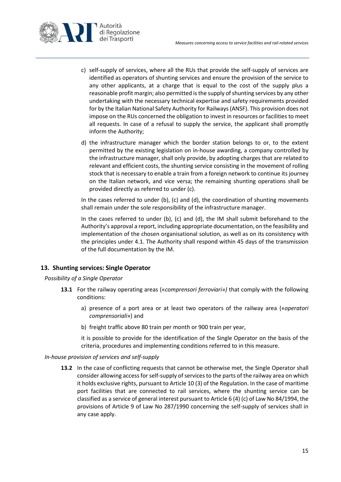

- c) self-supply of services, where all the RUs that provide the self-supply of services are identified as operators of shunting services and ensure the provision of the service to any other applicants, at a charge that is equal to the cost of the supply plus a reasonable profit margin; also permitted is the supply of shunting services by any other undertaking with the necessary technical expertise and safety requirements provided for by the Italian National Safety Authority for Railways (ANSF). This provision does not impose on the RUs concerned the obligation to invest in resources or facilities to meet all requests. In case of a refusal to supply the service, the applicant shall promptly inform the Authority;
- d) the infrastructure manager which the border station belongs to or, to the extent permitted by the existing legislation on in-house awarding, a company controlled by the infrastructure manager, shall only provide, by adopting charges that are related to relevant and efficient costs, the shunting service consisting in the movement of rolling stock that is necessary to enable a train from a foreign network to continue its journey on the Italian network, and vice versa; the remaining shunting operations shall be provided directly as referred to under (c).

In the cases referred to under (b),  $(c)$  and  $(d)$ , the coordination of shunting movements shall remain under the sole responsibility of the infrastructure manager.

In the cases referred to under (b), (c) and (d), the IM shall submit beforehand to the Authority's approval a report, including appropriate documentation, on the feasibility and implementation of the chosen organisational solution, as well as on its consistency with the principles under [4.1.](#page-4-3) The Authority shall respond within 45 days of the transmission of the full documentation by the IM.

## <span id="page-14-0"></span>**13. Shunting services: Single Operator**

#### *Possibility of a Single Operator*

- **13.1** For the railway operating areas («*comprensori ferroviari»)* that comply with the following conditions:
	- a) presence of a port area or at least two operators of the railway area («*operatori comprensoriali*») and
	- b) freight traffic above 80 train per month or 900 train per year,

it is possible to provide for the identification of the Single Operator on the basis of the criteria, procedures and implementing conditions referred to in this measure.

#### *In-house provision of services and self-supply*

**13.2** In the case of conflicting requests that cannot be otherwise met, the Single Operator shall consider allowing accessfor self-supply of services to the parts of the railway area on which it holds exclusive rights, pursuant to Article 10 (3) of the Regulation. In the case of maritime port facilities that are connected to rail services, where the shunting service can be classified as a service of general interest pursuant to Article 6 (4) (c) of Law No 84/1994, the provisions of Article 9 of Law No 287/1990 concerning the self-supply of services shall in any case apply.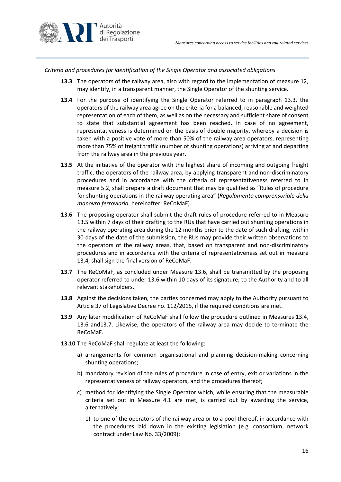

<span id="page-15-0"></span>*Criteria and procedures for identification of the Single Operator and associated obligations*

- **13.3** The operators of the railway area, also with regard to the implementation of measure [12,](#page-12-0) may identify, in a transparent manner, the Single Operator of the shunting service.
- <span id="page-15-2"></span>**13.4** For the purpose of identifying the Single Operator referred to in paragraph [13.3,](#page-15-0) the operators of the railway area agree on the criteria for a balanced, reasonable and weighted representation of each of them, as well as on the necessary and sufficient share of consent to state that substantial agreement has been reached. In case of no agreement, representativeness is determined on the basis of double majority, whereby a decision is taken with a positive vote of more than 50% of the railway area operators, representing more than 75% of freight traffic (number of shunting operations) arriving at and departing from the railway area in the previous year.
- <span id="page-15-1"></span>**13.5** At the initiative of the operator with the highest share of incoming and outgoing freight traffic, the operators of the railway area, by applying transparent and non-discriminatory procedures and in accordance with the criteria of representativeness referred to in measure 5.2, shall prepare a draft document that may be qualified as "Rules of procedure for shunting operations in the railway operating area" (*Regolamento comprensoriale della manovra ferroviaria*, hereinafter: ReCoMaF).
- <span id="page-15-3"></span>**13.6** The proposing operator shall submit the draft rules of procedure referred to in Measure [13.5](#page-15-1) within 7 days of their drafting to the RUs that have carried out shunting operations in the railway operating area during the 12 months prior to the date of such drafting; within 30 days of the date of the submission, the RUs may provide their written observations to the operators of the railway areas, that, based on transparent and non-discriminatory procedures and in accordance with the criteria of representativeness set out in measure [13.4,](#page-15-2) shall sign the final version of ReCoMaF.
- <span id="page-15-4"></span>**13.7** The ReCoMaF, as concluded under Measure [13.6,](#page-15-3) shall be transmitted by the proposing operator referred to under [13.6](#page-15-3) within 10 days of its signature, to the Authority and to all relevant stakeholders.
- **13.8** Against the decisions taken, the parties concerned may apply to the Authority pursuant to Article 37 of Legislative Decree no. 112/2015, if the required conditions are met.
- **13.9** Any later modification of ReCoMaF shall follow the procedure outlined in Measures [13.4,](#page-15-2) [13.6](#page-15-3) an[d13.7.](#page-15-4) Likewise, the operators of the railway area may decide to terminate the ReCoMaF.
- **13.10** The ReCoMaF shall regulate at least the following:
	- a) arrangements for common organisational and planning decision-making concerning shunting operations;
	- b) mandatory revision of the rules of procedure in case of entry, exit or variations in the representativeness of railway operators, and the procedures thereof;
	- c) method for identifying the Single Operator which, while ensuring that the measurable criteria set out in Measure [4.1](#page-4-3) are met, is carried out by awarding the service, alternatively:
		- 1) to one of the operators of the railway area or to a pool thereof, in accordance with the procedures laid down in the existing legislation (e.g. consortium, network contract under Law No. 33/2009);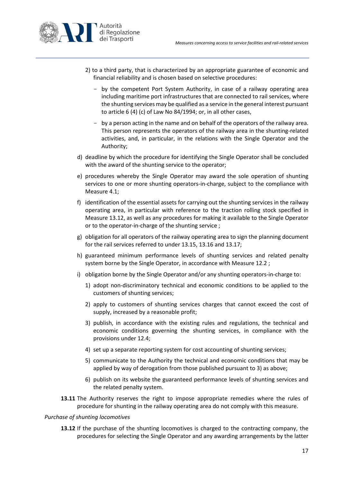

- 2) to a third party, that is characterized by an appropriate guarantee of economic and financial reliability and is chosen based on selective procedures:
	- by the competent Port System Authority, in case of a railway operating area including maritime port infrastructures that are connected to rail services, where the shunting services may be qualified as a service in the general interest pursuant to article 6 (4) (c) of Law No 84/1994; or, in all other cases,
	- by a person acting in the name and on behalf of the operators of the railway area. This person represents the operators of the railway area in the shunting-related activities, and, in particular, in the relations with the Single Operator and the Authority;
- d) deadline by which the procedure for identifying the Single Operator shall be concluded with the award of the shunting service to the operator;
- e) procedures whereby the Single Operator may award the sole operation of shunting services to one or more shunting operators-in-charge, subject to the compliance with Measure [4.1;](#page-4-3)
- f) identification of the essential assets for carrying out the shunting services in the railway operating area, in particular with reference to the traction rolling stock specified in Measure [13.12,](#page-16-0) as well as any procedures for making it available to the Single Operator or to the operator-in-charge of the shunting service ;
- g) obligation for all operators of the railway operating area to sign the planning document for the rail services referred to under [13.15,](#page-17-2) [13.16](#page-17-3) and [13.17;](#page-17-4)
- h) guaranteed minimum performance levels of shunting services and related penalty system borne by the Single Operator, in accordance with Measure [12.2](#page-12-1) ;
- i) obligation borne by the Single Operator and/or any shunting operators-in-charge to:
	- 1) adopt non-discriminatory technical and economic conditions to be applied to the customers of shunting services;
	- 2) apply to customers of shunting services charges that cannot exceed the cost of supply, increased by a reasonable profit;
	- 3) publish, in accordance with the existing rules and regulations, the technical and economic conditions governing the shunting services, in compliance with the provisions under [12.4;](#page-13-0)
	- 4) set up a separate reporting system for cost accounting of shunting services;
	- 5) communicate to the Authority the technical and economic conditions that may be applied by way of derogation from those published pursuant to 3) as above;
	- 6) publish on its website the guaranteed performance levels of shunting services and the related penalty system.
- **13.11** The Authority reserves the right to impose appropriate remedies where the rules of procedure for shunting in the railway operating area do not comply with this measure.

#### <span id="page-16-1"></span><span id="page-16-0"></span>*Purchase of shunting locomotives*

**13.12** If the purchase of the shunting locomotives is charged to the contracting company, the procedures for selecting the Single Operator and any awarding arrangements by the latter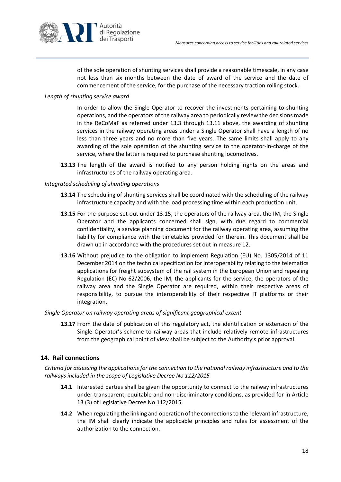

of the sole operation of shunting services shall provide a reasonable timescale, in any case not less than six months between the date of award of the service and the date of commencement of the service, for the purchase of the necessary traction rolling stock.

### *Length of shunting service award*

In order to allow the Single Operator to recover the investments pertaining to shunting operations, and the operators of the railway area to periodically review the decisions made in the ReCoMaF as referred under [13.3](#page-15-0) through [13.11](#page-16-1) above, the awarding of shunting services in the railway operating areas under a Single Operator shall have a length of no less than three years and no more than five years. The same limits shall apply to any awarding of the sole operation of the shunting service to the operator-in-charge of the service, where the latter is required to purchase shunting locomotives.

**13.13** The length of the award is notified to any person holding rights on the areas and infrastructures of the railway operating area.

#### <span id="page-17-2"></span><span id="page-17-1"></span>*Integrated scheduling of shunting operations*

- **13.14** The scheduling of shunting services shall be coordinated with the scheduling of the railway infrastructure capacity and with the load processing time within each production unit.
- <span id="page-17-3"></span>**13.15** For the purpose set out under [13.15,](#page-17-2) the operators of the railway area, the IM, the Single Operator and the applicants concerned shall sign, with due regard to commercial confidentiality, a service planning document for the railway operating area, assuming the liability for compliance with the timetables provided for therein. This document shall be drawn up in accordance with the procedures set out in measure [12.](#page-12-0)
- <span id="page-17-4"></span>**13.16** Without prejudice to the obligation to implement Regulation (EU) No. 1305/2014 of 11 December 2014 on the technical specification for interoperability relating to the telematics applications for freight subsystem of the rail system in the European Union and repealing Regulation (EC) No 62/2006, the IM, the applicants for the service, the operators of the railway area and the Single Operator are required, within their respective areas of responsibility, to pursue the interoperability of their respective IT platforms or their integration.

#### *Single Operator on railway operating areas of significant geographical extent*

**13.17** From the date of publication of this regulatory act, the identification or extension of the Single Operator's scheme to railway areas that include relatively remote infrastructures from the geographical point of view shall be subject to the Authority's prior approval.

## <span id="page-17-0"></span>**14. Rail connections**

*Criteria for assessing the applications for the connection to the national railway infrastructure and to the railways included in the scope of Legislative Decree No 112/2015*

- **14.1** Interested parties shall be given the opportunity to connect to the railway infrastructures under transparent, equitable and non-discriminatory conditions, as provided for in Article 13 (3) of Legislative Decree No 112/2015.
- <span id="page-17-5"></span>**14.2** When regulating the linking and operation of the connections to the relevant infrastructure, the IM shall clearly indicate the applicable principles and rules for assessment of the authorization to the connection.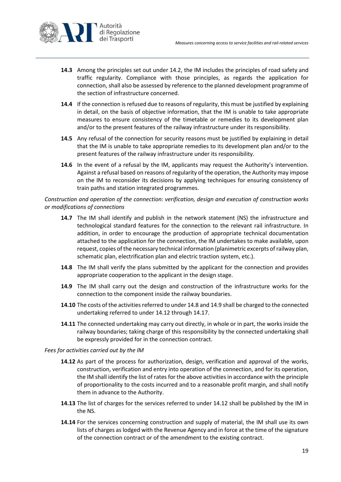

- **14.3** Among the principles set out under [14.2,](#page-17-5) the IM includes the principles of road safety and traffic regularity. Compliance with those principles, as regards the application for connection, shall also be assessed by reference to the planned development programme of the section of infrastructure concerned.
- **14.4** If the connection is refused due to reasons of regularity, this must be justified by explaining in detail, on the basis of objective information, that the IM is unable to take appropriate measures to ensure consistency of the timetable or remedies to its development plan and/or to the present features of the railway infrastructure under its responsibility.
- **14.5** Any refusal of the connection for security reasons must be justified by explaining in detail that the IM is unable to take appropriate remedies to its development plan and/or to the present features of the railway infrastructure under its responsibility.
- **14.6** In the event of a refusal by the IM, applicants may request the Authority's intervention. Against a refusal based on reasons of regularity of the operation, the Authority may impose on the IM to reconsider its decisions by applying techniques for ensuring consistency of train paths and station integrated programmes.

### *Construction and operation of the connection: verification, design and execution of construction works or modifications of connections*

- **14.7** The IM shall identify and publish in the network statement (NS) the infrastructure and technological standard features for the connection to the relevant rail infrastructure. In addition, in order to encourage the production of appropriate technical documentation attached to the application for the connection, the IM undertakes to make available, upon request, copies of the necessary technical information (planimetric excerpts of railway plan, schematic plan, electrification plan and electric traction system, etc.).
- <span id="page-18-0"></span>**14.8** The IM shall verify the plans submitted by the applicant for the connection and provides appropriate cooperation to the applicant in the design stage.
- <span id="page-18-1"></span>**14.9** The IM shall carry out the design and construction of the infrastructure works for the connection to the component inside the railway boundaries.
- **14.10** The costs of the activities referred to under [14.8](#page-18-0) an[d 14.9](#page-18-1) shall be charged to the connected undertaking referred to under [14.12](#page-18-2) through [14.17.](#page-19-1)
- **14.11** The connected undertaking may carry out directly, in whole or in part, the works inside the railway boundaries; taking charge of this responsibility by the connected undertaking shall be expressly provided for in the connection contract.

#### <span id="page-18-2"></span>*Fees for activities carried out by the IM*

- **14.12** As part of the process for authorization, design, verification and approval of the works, construction, verification and entry into operation of the connection, and for its operation, the IM shall identify the list of rates for the above activities in accordance with the principle of proportionality to the costs incurred and to a reasonable profit margin, and shall notify them in advance to the Authority.
- **14.13** The list of charges for the services referred to under [14.12](#page-18-2) shall be published by the IM in the NS.
- <span id="page-18-3"></span>**14.14** For the services concerning construction and supply of material, the IM shall use its own lists of charges as lodged with the Revenue Agency and in force at the time of the signature of the connection contract or of the amendment to the existing contract.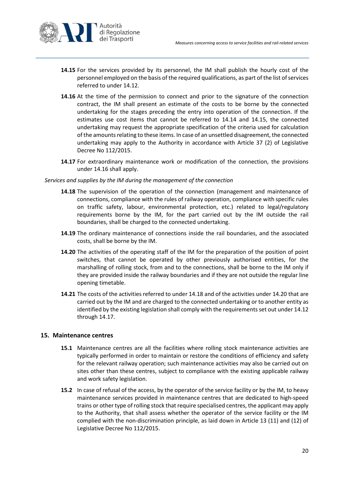

- <span id="page-19-2"></span>**14.15** For the services provided by its personnel, the IM shall publish the hourly cost of the personnel employed on the basis of the required qualifications, as part of the list of services referred to unde[r 14.12.](#page-18-2)
- <span id="page-19-3"></span>14.16 At the time of the permission to connect and prior to the signature of the connection contract, the IM shall present an estimate of the costs to be borne by the connected undertaking for the stages preceding the entry into operation of the connection. If the estimates use cost items that cannot be referred to [14.14](#page-18-3) and [14.15,](#page-19-2) the connected undertaking may request the appropriate specification of the criteria used for calculation of the amounts relating to these items. In case of an unsettled disagreement, the connected undertaking may apply to the Authority in accordance with Article 37 (2) of Legislative Decree No 112/2015.
- **14.17** For extraordinary maintenance work or modification of the connection, the provisions under [14.16](#page-19-3) shall apply.

#### <span id="page-19-4"></span><span id="page-19-1"></span>*Services and supplies by the IM during the management of the connection*

- **14.18** The supervision of the operation of the connection (management and maintenance of connections, compliance with the rules of railway operation, compliance with specific rules on traffic safety, labour, environmental protection, etc.) related to legal/regulatory requirements borne by the IM, for the part carried out by the IM outside the rail boundaries, shall be charged to the connected undertaking.
- **14.19** The ordinary maintenance of connections inside the rail boundaries, and the associated costs, shall be borne by the IM.
- <span id="page-19-5"></span>**14.20** The activities of the operating staff of the IM for the preparation of the position of point switches, that cannot be operated by other previously authorised entities, for the marshalling of rolling stock, from and to the connections, shall be borne to the IM only if they are provided inside the railway boundaries and if they are not outside the regular line opening timetable.
- **14.21** The costs of the activities referred to unde[r 14.18](#page-19-4) and of the activities under [14.20](#page-19-5) that are carried out by the IM and are charged to the connected undertaking or to another entity as identified by the existing legislation shall comply with the requirements set out unde[r 14.12](#page-18-2) through [14.17.](#page-19-1)

#### <span id="page-19-0"></span>**15. Maintenance centres**

- **15.1** Maintenance centres are all the facilities where rolling stock maintenance activities are typically performed in order to maintain or restore the conditions of efficiency and safety for the relevant railway operation; such maintenance activities may also be carried out on sites other than these centres, subject to compliance with the existing applicable railway and work safety legislation.
- **15.2** In case of refusal of the access, by the operator of the service facility or by the IM, to heavy maintenance services provided in maintenance centres that are dedicated to high-speed trains or other type of rolling stock that require specialised centres, the applicant may apply to the Authority, that shall assess whether the operator of the service facility or the IM complied with the non-discrimination principle, as laid down in Article 13 (11) and (12) of Legislative Decree No 112/2015.